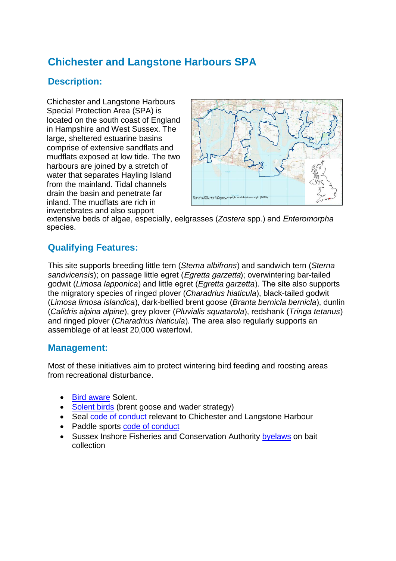# **Chichester and Langstone Harbours SPA**

## **Description:**

Chichester and Langstone Harbours Special Protection Area (SPA) is located on the south coast of England in Hampshire and West Sussex. The large, sheltered estuarine basins comprise of extensive sandflats and mudflats exposed at low tide. The two harbours are joined by a stretch of water that separates Hayling Island from the mainland. Tidal channels drain the basin and penetrate far inland. The mudflats are rich in invertebrates and also support



extensive beds of algae, especially, eelgrasses (*Zostera* spp.) and *Enteromorpha* species.

### **Qualifying Features:**

This site supports breeding little tern (*Sterna albifrons*) and sandwich tern (*Sterna sandvicensis*); on passage little egret (Egretta garzetta); overwintering bar-tailed godwit (*Limosa lapponica*) and little egret (*Egretta garzetta*). The site also supports the migratory species of ringed plover (*Charadrius hiaticula*), black-tailed godwit (*Limosa limosa islandica*), dark-bellied brent goose (*Branta bernicla bernicla*), dunlin (*Calidris alpina alpine*), grey plover (*Pluvialis squatarola*), redshank (*Tringa tetanus*) and ringed plover (*Charadrius hiaticula*). The area also regularly supports an assemblage of at least 20,000 waterfowl.

#### **Management:**

Most of these initiatives aim to protect wintering bird feeding and roosting areas from recreational disturbance.

- [Bird aware](http://www.birdaware.org/) Solent.
- [Solent birds](https://solentwbgs.wordpress.com/) (brent goose and wader strategy)
- Seal [code of conduct](https://www.conservancy.co.uk/assets/files/cms_item/10/d-Solent_Seal_Code_of_Conduct-LuknguDYsp.pdf) relevant to Chichester and Langstone Harbour
- Paddle sports [code of conduct](https://www.conservancy.co.uk/assets/files/cms_item/10/d-Enjoying_paddlesports_and_protecting_the_environment-oofr4BfI68.pdf)
- Sussex Inshore Fisheries and Conservation Authorit[y byelaws](https://www.sussex-ifca.gov.uk/chichester-harbour-european-marine-site-specified-) on bait collection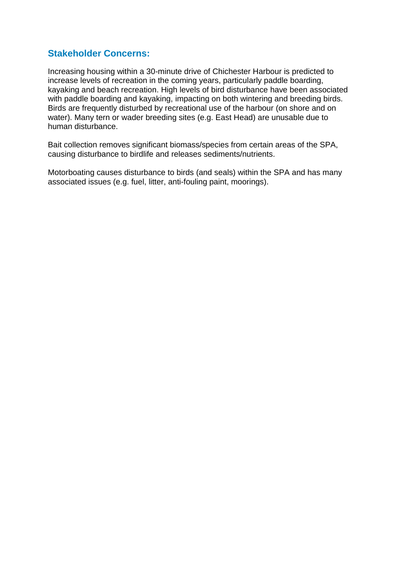#### **Stakeholder Concerns:**

Increasing housing within a 30-minute drive of Chichester Harbour is predicted to increase levels of recreation in the coming years, particularly paddle boarding, kayaking and beach recreation. High levels of bird disturbance have been associated with paddle boarding and kayaking, impacting on both wintering and breeding birds. Birds are frequently disturbed by recreational use of the harbour (on shore and on water). Many tern or wader breeding sites (e.g. East Head) are unusable due to human disturbance.

Bait collection removes significant biomass/species from certain areas of the SPA, causing disturbance to birdlife and releases sediments/nutrients.

Motorboating causes disturbance to birds (and seals) within the SPA and has many associated issues (e.g. fuel, litter, anti-fouling paint, moorings).